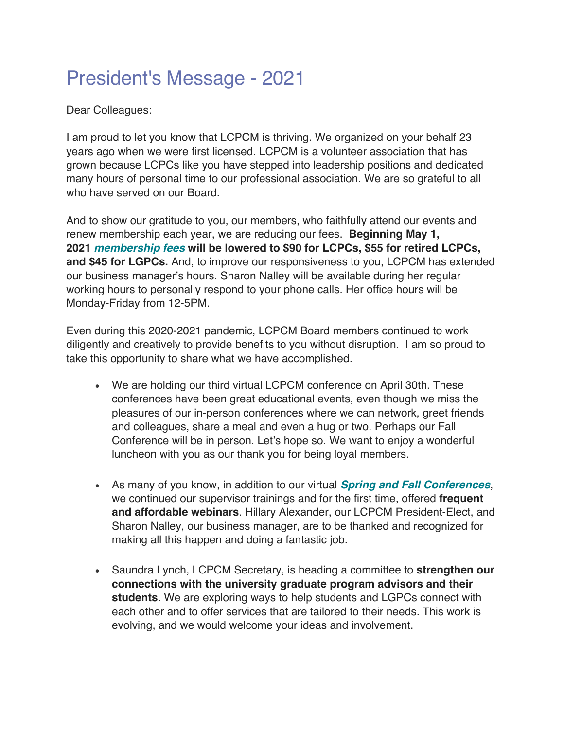## President's Message - 2021

Dear Colleagues:

I am proud to let you know that LCPCM is thriving. We organized on your behalf 23 years ago when we were first licensed. LCPCM is a volunteer association that has grown because LCPCs like you have stepped into leadership positions and dedicated many hours of personal time to our professional association. We are so grateful to all who have served on our Board.

And to show our gratitude to you, our members, who faithfully attend our events and renew membership each year, we are reducing our fees. **Beginning May 1, 2021** *membership fees* **will be lowered to \$90 for LCPCs, \$55 for retired LCPCs, and \$45 for LGPCs.** And, to improve our responsiveness to you, LCPCM has extended our business manager's hours. Sharon Nalley will be available during her regular working hours to personally respond to your phone calls. Her office hours will be Monday-Friday from 12-5PM.

Even during this 2020-2021 pandemic, LCPCM Board members continued to work diligently and creatively to provide benefits to you without disruption. I am so proud to take this opportunity to share what we have accomplished.

- We are holding our third virtual LCPCM conference on April 30th. These conferences have been great educational events, even though we miss the pleasures of our in-person conferences where we can network, greet friends and colleagues, share a meal and even a hug or two. Perhaps our Fall Conference will be in person. Let's hope so. We want to enjoy a wonderful luncheon with you as our thank you for being loyal members.
- As many of you know, in addition to our virtual *Spring and Fall Conferences*, we continued our supervisor trainings and for the first time, offered **frequent and affordable webinars**. Hillary Alexander, our LCPCM President-Elect, and Sharon Nalley, our business manager, are to be thanked and recognized for making all this happen and doing a fantastic job.
- Saundra Lynch, LCPCM Secretary, is heading a committee to **strengthen our connections with the university graduate program advisors and their students**. We are exploring ways to help students and LGPCs connect with each other and to offer services that are tailored to their needs. This work is evolving, and we would welcome your ideas and involvement.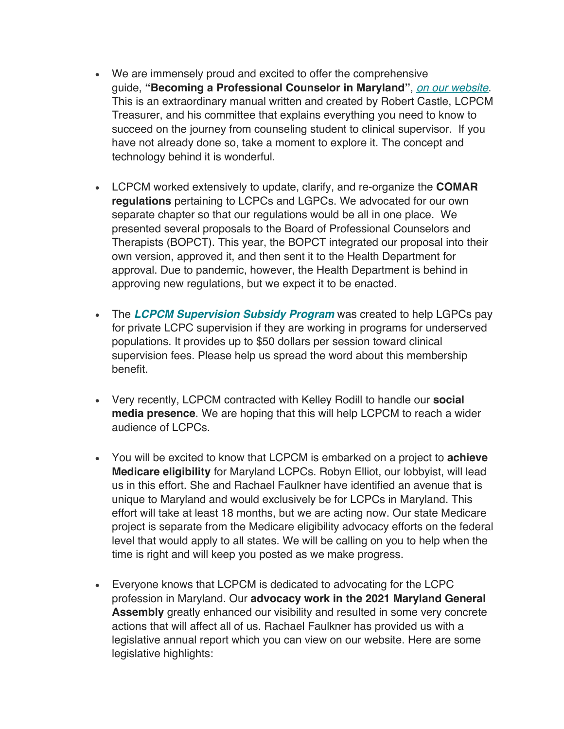- We are immensely proud and excited to offer the comprehensive guide, **"Becoming a Professional Counselor in Maryland"**, *on our website*. This is an extraordinary manual written and created by Robert Castle, LCPCM Treasurer, and his committee that explains everything you need to know to succeed on the journey from counseling student to clinical supervisor. If you have not already done so, take a moment to explore it. The concept and technology behind it is wonderful.
- LCPCM worked extensively to update, clarify, and re-organize the **COMAR regulations** pertaining to LCPCs and LGPCs. We advocated for our own separate chapter so that our regulations would be all in one place. We presented several proposals to the Board of Professional Counselors and Therapists (BOPCT). This year, the BOPCT integrated our proposal into their own version, approved it, and then sent it to the Health Department for approval. Due to pandemic, however, the Health Department is behind in approving new regulations, but we expect it to be enacted.
- The *LCPCM Supervision Subsidy Program* was created to help LGPCs pay for private LCPC supervision if they are working in programs for underserved populations. It provides up to \$50 dollars per session toward clinical supervision fees. Please help us spread the word about this membership benefit.
- Very recently, LCPCM contracted with Kelley Rodill to handle our **social media presence**. We are hoping that this will help LCPCM to reach a wider audience of LCPCs.
- You will be excited to know that LCPCM is embarked on a project to **achieve Medicare eligibility** for Maryland LCPCs. Robyn Elliot, our lobbyist, will lead us in this effort. She and Rachael Faulkner have identified an avenue that is unique to Maryland and would exclusively be for LCPCs in Maryland. This effort will take at least 18 months, but we are acting now. Our state Medicare project is separate from the Medicare eligibility advocacy efforts on the federal level that would apply to all states. We will be calling on you to help when the time is right and will keep you posted as we make progress.
- Everyone knows that LCPCM is dedicated to advocating for the LCPC profession in Maryland. Our **advocacy work in the 2021 Maryland General Assembly** greatly enhanced our visibility and resulted in some very concrete actions that will affect all of us. Rachael Faulkner has provided us with a legislative annual report which you can view on our website. Here are some legislative highlights: